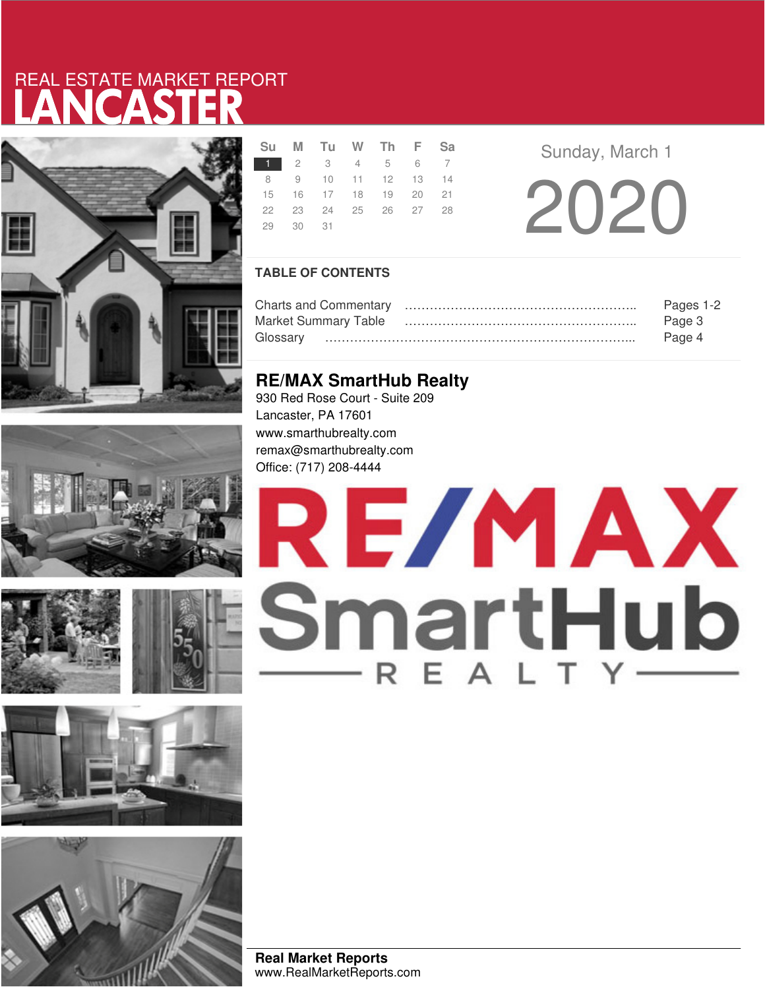# LANCASTER REAL ESTATE MARKET REPORT













|          | Su M Tu W Th F Sa    |  |  |
|----------|----------------------|--|--|
|          | 1 2 3 4 5 6 7        |  |  |
|          | 8 9 10 11 12 13 14   |  |  |
|          | 15 16 17 18 19 20 21 |  |  |
|          | 22 23 24 25 26 27 28 |  |  |
| 29 30 31 |                      |  |  |
|          |                      |  |  |

**Sunday, March 1** 20 20

## **TABLE OF CONTENTS**

|                             | Pages 1-2 |
|-----------------------------|-----------|
| <b>Market Summary Table</b> | Page 3    |
|                             | Page 4    |

## **RE/MAX SmartHub Realty**

930 Red Rose Court - Suite 209 Lancaster, PA 17601 www.smarthubrealty.com remax@smarthubrealty.com Office: (717) 208-4444

# RE/MAX SmartHub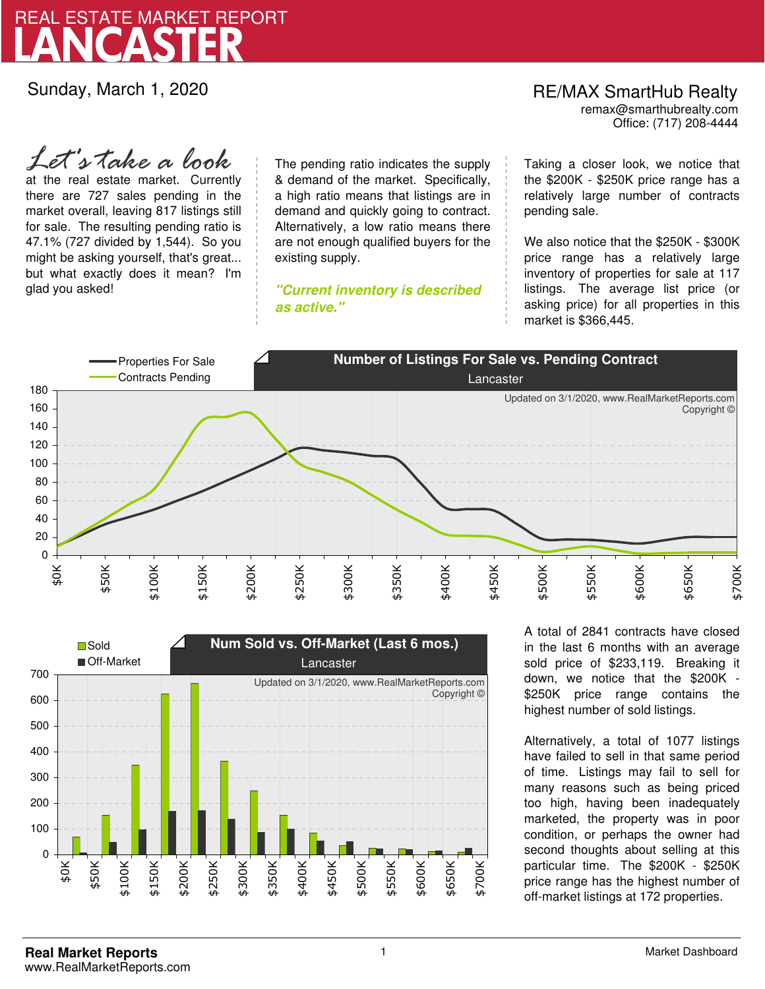

Sunday, March 1, 2020

Office: (717) 208-4444 RE/MAX SmartHub Realty remax@smarthubrealty.com

at the real estate market. Currently there are 727 sales pending in the market overall, leaving 817 listings still for sale. The resulting pending ratio is 47.1% (727 divided by 1,544). So you might be asking yourself, that's great... but what exactly does it mean? I'm glad you asked! *Let's take a look*

The pending ratio indicates the supply & demand of the market. Specifically, a high ratio means that listings are in demand and quickly going to contract. Alternatively, a low ratio means there are not enough qualified buyers for the existing supply.

**"Current inventory is described as active."**

Taking a closer look, we notice that the \$200K - \$250K price range has a relatively large number of contracts pending sale.

We also notice that the \$250K - \$300K price range has a relatively large inventory of properties for sale at 117 listings. The average list price (or asking price) for all properties in this market is \$366,445.





A total of 2841 contracts have closed in the last 6 months with an average sold price of \$233,119. Breaking it down, we notice that the \$200K - \$250K price range contains the highest number of sold listings.

Alternatively, a total of 1077 listings have failed to sell in that same period of time. Listings may fail to sell for many reasons such as being priced too high, having been inadequately marketed, the property was in poor condition, or perhaps the owner had second thoughts about selling at this particular time. The \$200K - \$250K price range has the highest number of off-market listings at 172 properties.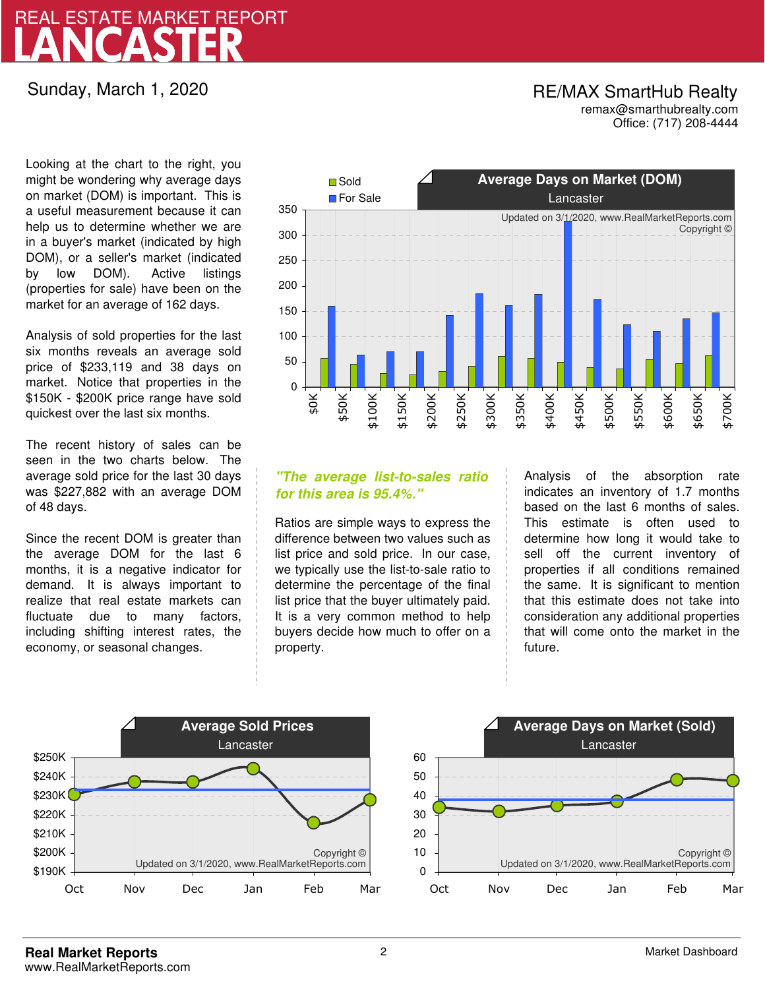# LANCASTER REAL ESTATE MARKET REPORT

## Sunday, March 1, 2020

## RE/MAX SmartHub Realty remax@smarthubrealty.com

Office: (717) 208-4444

Looking at the chart to the right, you might be wondering why average days on market (DOM) is important. This is a useful measurement because it can help us to determine whether we are in a buyer's market (indicated by high DOM), or a seller's market (indicated by low DOM). Active listings (properties for sale) have been on the market for an average of 162 days.

Analysis of sold properties for the last six months reveals an average sold price of \$233,119 and 38 days on market. Notice that properties in the \$150K - \$200K price range have sold quickest over the last six months.

The recent history of sales can be seen in the two charts below. The average sold price for the last 30 days was \$227,882 with an average DOM of 48 days.

Since the recent DOM is greater than the average DOM for the last 6 months, it is a negative indicator for demand. It is always important to realize that real estate markets can fluctuate due to many factors, including shifting interest rates, the economy, or seasonal changes.



## **"The average list-to-sales ratio for this area is 95.4%."**

Ratios are simple ways to express the difference between two values such as list price and sold price. In our case, we typically use the list-to-sale ratio to determine the percentage of the final list price that the buyer ultimately paid. It is a very common method to help buyers decide how much to offer on a property.

Analysis of the absorption rate indicates an inventory of 1.7 months based on the last 6 months of sales. This estimate is often used to determine how long it would take to sell off the current inventory of properties if all conditions remained the same. It is significant to mention that this estimate does not take into consideration any additional properties that will come onto the market in the future.



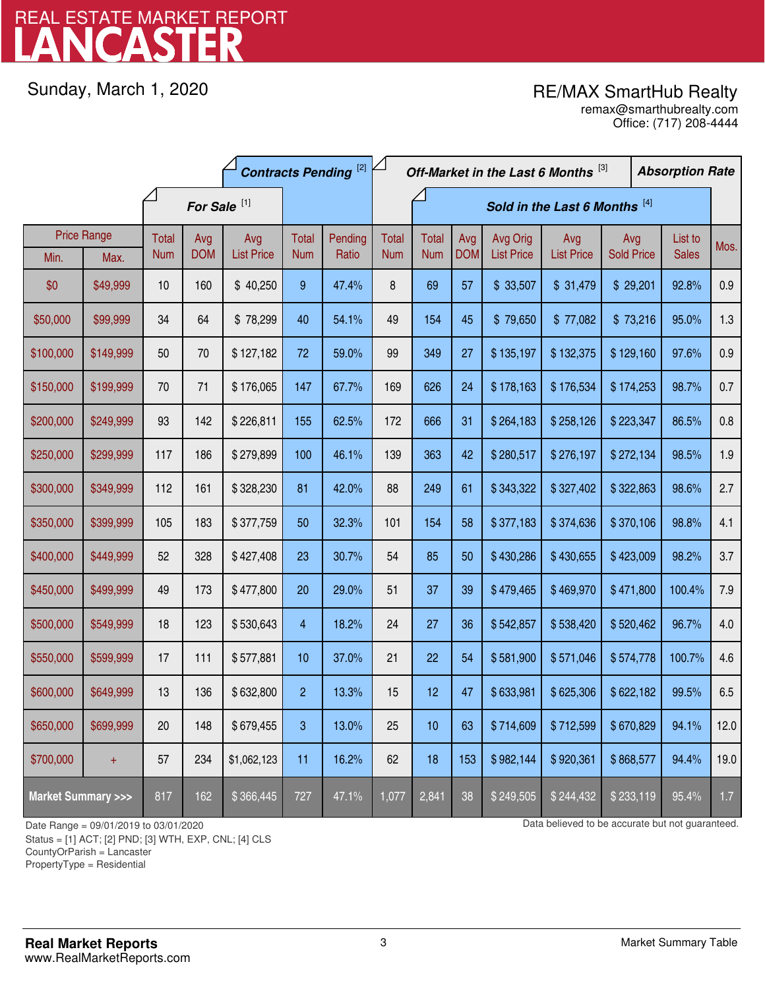# LANCASTER REAL ESTATE MARKET REPORT

Sunday, March 1, 2020

## RE/MAX SmartHub Realty

Office: (717) 208-4444 remax@smarthubrealty.com

|                                    |                    | <b>Contracts Pending [2]</b> |                   |                          |                     |                               | Off-Market in the Last 6 Months [3] |                            |                   |                               | <b>Absorption Rate</b>   |                          |                         |      |
|------------------------------------|--------------------|------------------------------|-------------------|--------------------------|---------------------|-------------------------------|-------------------------------------|----------------------------|-------------------|-------------------------------|--------------------------|--------------------------|-------------------------|------|
|                                    |                    | For Sale <sup>[1]</sup>      |                   |                          |                     | Sold in the Last 6 Months [4] |                                     |                            |                   |                               |                          |                          |                         |      |
|                                    | <b>Price Range</b> | Total<br><b>Num</b>          | Avg<br><b>DOM</b> | Avg<br><b>List Price</b> | Total<br><b>Num</b> | Pending<br>Ratio              | <b>Total</b><br><b>Num</b>          | <b>Total</b><br><b>Num</b> | Avg<br><b>DOM</b> | Avg Orig<br><b>List Price</b> | Avg<br><b>List Price</b> | Avg<br><b>Sold Price</b> | List to<br><b>Sales</b> | Mos. |
| Min.                               | Max.               |                              |                   |                          |                     |                               |                                     |                            |                   |                               |                          |                          |                         |      |
| \$0                                | \$49,999           | 10                           | 160               | \$40,250                 | 9                   | 47.4%                         | 8                                   | 69                         | 57                | \$33,507                      | \$31,479                 | \$29,201                 | 92.8%                   | 0.9  |
| \$50,000                           | \$99,999           | 34                           | 64                | \$78,299                 | 40                  | 54.1%                         | 49                                  | 154                        | 45                | \$79,650                      | \$77,082                 | \$73,216                 | 95.0%                   | 1.3  |
| \$100,000                          | \$149,999          | 50                           | 70                | \$127,182                | 72                  | 59.0%                         | 99                                  | 349                        | 27                | \$135,197                     | \$132,375                | \$129,160                | 97.6%                   | 0.9  |
| \$150,000                          | \$199,999          | 70                           | 71                | \$176,065                | 147                 | 67.7%                         | 169                                 | 626                        | 24                | \$178,163                     | \$176,534                | \$174,253                | 98.7%                   | 0.7  |
| \$200,000                          | \$249,999          | 93                           | 142               | \$226,811                | 155                 | 62.5%                         | 172                                 | 666                        | 31                | \$264,183                     | \$258,126                | \$223,347                | 86.5%                   | 0.8  |
| \$250,000                          | \$299,999          | 117                          | 186               | \$279,899                | 100                 | 46.1%                         | 139                                 | 363                        | 42                | \$280,517                     | \$276,197                | \$272,134                | 98.5%                   | 1.9  |
| \$300,000                          | \$349,999          | 112                          | 161               | \$328,230                | 81                  | 42.0%                         | 88                                  | 249                        | 61                | \$343,322                     | \$327,402                | \$322,863                | 98.6%                   | 2.7  |
| \$350,000                          | \$399,999          | 105                          | 183               | \$377,759                | 50                  | 32.3%                         | 101                                 | 154                        | 58                | \$377,183                     | \$374,636                | \$370,106                | 98.8%                   | 4.1  |
| \$400,000                          | \$449,999          | 52                           | 328               | \$427,408                | 23                  | 30.7%                         | 54                                  | 85                         | 50                | \$430,286                     | \$430,655                | \$423,009                | 98.2%                   | 3.7  |
| \$450,000                          | \$499,999          | 49                           | 173               | \$477,800                | 20                  | 29.0%                         | 51                                  | 37                         | 39                | \$479,465                     | \$469,970                | \$471,800                | 100.4%                  | 7.9  |
| \$500,000                          | \$549,999          | 18                           | 123               | \$530,643                | $\overline{4}$      | 18.2%                         | 24                                  | 27                         | 36                | \$542,857                     | \$538,420                | \$520,462                | 96.7%                   | 4.0  |
| \$550,000                          | \$599,999          | 17                           | 111               | \$577,881                | 10                  | 37.0%                         | 21                                  | 22                         | 54                | \$581,900                     | \$571,046                | \$574,778                | 100.7%                  | 4.6  |
| \$600,000                          | \$649,999          | 13                           | 136               | \$632,800                | $\overline{2}$      | 13.3%                         | 15                                  | 12                         | 47                | \$633,981                     | \$625,306                | \$622,182                | 99.5%                   | 6.5  |
| \$650,000                          | \$699,999          | 20                           | 148               | \$679,455                | 3                   | 13.0%                         | 25                                  | 10                         | 63                | \$714,609                     | \$712,599                | \$670,829                | 94.1%                   | 12.0 |
| \$700,000                          | $\ddot{}$          | 57                           | 234               | \$1,062,123              | 11                  | 16.2%                         | 62                                  | 18                         | 153               | \$982,144                     | \$920,361                | \$868,577                | 94.4%                   | 19.0 |
| <b>Market Summary &gt;&gt;&gt;</b> |                    | 817                          | 162               | \$366,445                | 727                 | 47.1%                         | 1,077                               | 2,841                      | 38                | \$249,505                     | \$244,432                | \$233,119                | 95.4%                   | 1.7  |

Status = [1] ACT; [2] PND; [3] WTH, EXP, CNL; [4] CLS

CountyOrParish = Lancaster

PropertyType = Residential

1

Date Range = 09/01/2019 to 03/01/2020 Date Range = 09/01/2020